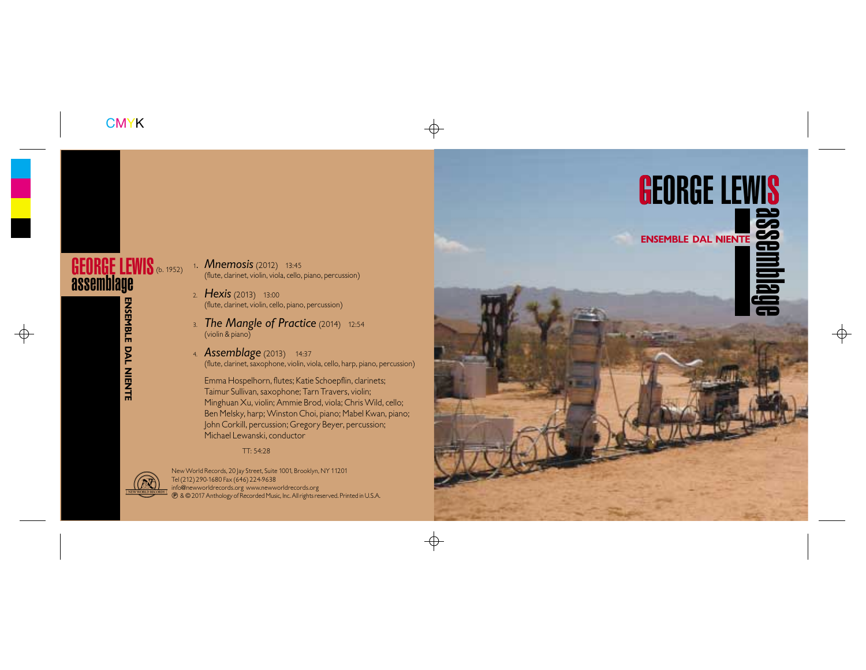

JON GIBSON (b. 1940)

1. *Relative Calm (Rise)* (1981) 16:58

Jon Gibson,winds,keyboards,autoharp,ambient recording; Joseph Kubera,keyboards; David Van Tieghem,percussion

RELATIVE CALM

- 1. *Mnemosis* (2012) 13:45 (flute, clarinet, violin, viola, cello, piano, percussion)
- **2.** The complete of the complete of the complete of the complete of the clarinet, violin, cello, piano, percussion) 2. *Hexis* (2013) 13:00
	- 3. *The Mangle of Practice* (2014) 12:54 (violin & piano)
	- **Jon Gibson, Science; Joseph Assemblage** (2013) 14:37 (flute, clarinet, saxophone, violin, viola, cello, harp, piano, percussion)

John Corkill, percussion; Gregory Beyer, percussion;<br>Mishael Laurenti, angelestic Emma Hospelhorn, flutes; Katie Schoepflin, clarinets; Taimur Sullivan, saxophone; Tarn Travers, violin; Minghuan Xu, violin; Ammie Brod, viola; Chris Wild, cello; Ben Melsky, harp; Winston Choi, piano; Mabel Kwan, piano; Michael Lewanski, conductor

## TT: 54:28



 $\sqrt{2}$  Tel (212) 290-1680 Fax (646) 224-9638  $\frac{1}{2}$   $\frac{1}{2}$  info@newworldrecords.org www.newworldrecords.org **EXERVANGIAL PRECORDS.** (DIGETIC WARD IGN CORDS.ORG) WWW.NEWWORLD.CORDS.ORG STREET AND RECORDS.ORG STREET AND RECORDS.ORG STREET AND RECORDS.ORG STREET AND RECORDS.ORG STREET AND RECORDS.ORG STREET AND RECORDS.ORG STREET A New World Records, 20 Jay Street, Suite 1001, Brooklyn, NY 11201  $^\circledR$ 

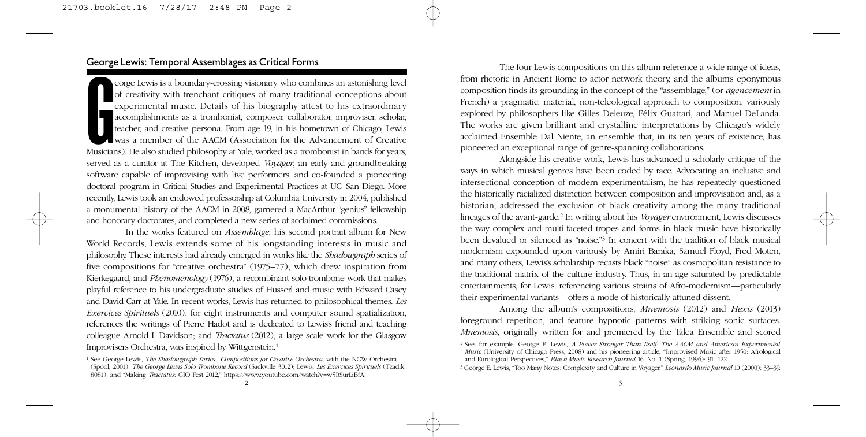France Elewis is a boundary-crossing visionary who combines an astonishing level<br>of creativity with trenchant critiques of many traditional conceptions about<br>experimental music. Details of his biography attest to his extra eorge Lewis is a boundary-crossing visionary who combines an astonishing level of creativity with trenchant critiques of many traditional conceptions about experimental music. Details of his biography attest to his extraordinary accomplishments as a trombonist, composer, collaborator, improviser, scholar, teacher, and creative persona. From age 19, in his hometown of Chicago, Lewis was a member of the AACM (Association for the Advancement of Creative served as a curator at The Kitchen, developed *Voyager*, an early and groundbreaking software capable of improvising with live performers, and co-founded a pioneering doctoral program in Critical Studies and Experimental Practices at UC–San Diego. More recently, Lewis took an endowed professorship at Columbia University in 2004, published a monumental history of the AACM in 2008, garnered a MacArthur "genius" fellowship and honorary doctorates, and completed a new series of acclaimed commissions.

In the works featured on *Assemblage*, his second portrait album for New World Records, Lewis extends some of his longstanding interests in music and philosophy. These interests had already emerged in works like the *Shadowgraph* series of five compositions for "creative orchestra" (1975–77), which drew inspiration from Kierkegaard, and *Phenomenology* (1976), a recombinant solo trombone work that makes playful reference to his undergraduate studies of Husserl and music with Edward Casey and David Carr at Yale. In recent works, Lewis has returned to philosophical themes. *Les Exercices Spirituels* (2010), for eight instruments and computer sound spatialization, references the writings of Pierre Hadot and is dedicated to Lewis's friend and teaching colleague Arnold I. Davidson; and *Tractatus* (2012), a large-scale work for the Glasgow Improvisers Orchestra, was inspired by Wittgenstein.1

The four Lewis compositions on this album reference a wide range of ideas, from rhetoric in Ancient Rome to actor network theory, and the album's eponymous composition finds its grounding in the concept of the "assemblage," (or *agencement* in French) a pragmatic, material, non-teleological approach to composition, variously explored by philosophers like Gilles Deleuze, Félix Guattari, and Manuel DeLanda. The works are given brilliant and crystalline interpretations by Chicago's widely acclaimed Ensemble Dal Niente, an ensemble that, in its ten years of existence, has pioneered an exceptional range of genre-spanning collaborations.

Alongside his creative work, Lewis has advanced a scholarly critique of the ways in which musical genres have been coded by race. Advocating an inclusive and intersectional conception of modern experimentalism, he has repeatedly questioned the historically racialized distinction between composition and improvisation and, as a historian, addressed the exclusion of black creativity among the many traditional lineages of the avant-garde.2 In writing about his *Voyager* environment, Lewis discusses the way complex and multi-faceted tropes and forms in black music have historically been devalued or silenced as "noise."3 In concert with the tradition of black musical modernism expounded upon variously by Amiri Baraka, Samuel Floyd, Fred Moten, and many others, Lewis's scholarship recasts black "noise" as cosmopolitan resistance to the traditional matrix of the culture industry. Thus, in an age saturated by predictable entertainments, for Lewis, referencing various strains of Afro-modernism—particularly their experimental variants—offers a mode of historically attuned dissent.

Among the album's compositions, *Mnemosis* (2012) and *Hexis* (2013) foreground repetition, and feature hypnotic patterns with striking sonic surfaces. *Mnemosis*, originally written for and premiered by the Talea Ensemble and scored

<sup>1</sup> See George Lewis, *The Shadowgraph Series: Compositions for Creative Orchestra*, with the NOW Orchestra (Spool, 2001); *The George Lewis Solo Trombone Record* (Sackville 3012); Lewis, *Les Exercices Spirituels* (Tzadik 8081); and "Making *Tractatus*: GIO Fest 2012," https://www.youtube.com/watch?v=w5RSurLiBfA.

<sup>2</sup> See, for example, George E. Lewis, *A Power Stronger Than Itself: The AACM and American Experimental Music* (University of Chicago Press, 2008) and his pioneering article, "Improvised Music after 1950: Afrological and Eurological Perspectives," *Black Music Research Journal* 16, No. 1 (Spring, 1996): 91–122.

<sup>3</sup> George E. Lewis, "Too Many Notes: Complexity and Culture in Voyager," *Leonardo Music Journal* 10 (2000): 33–39.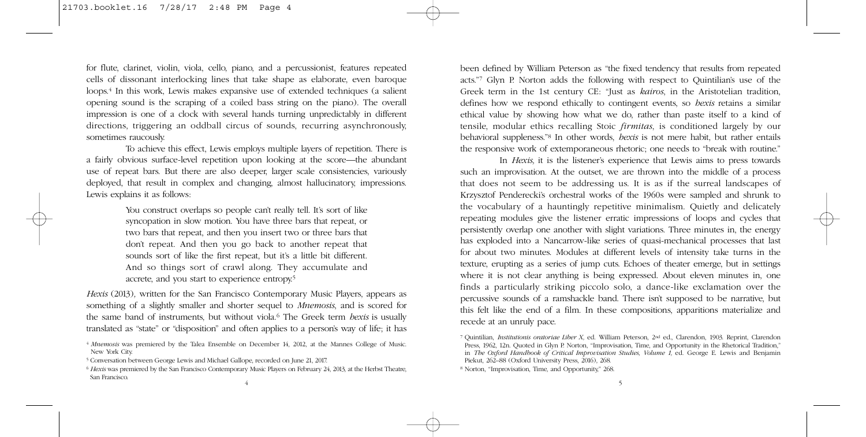for flute, clarinet, violin, viola, cello, piano, and a percussionist, features repeated cells of dissonant interlocking lines that take shape as elaborate, even baroque loops.4 In this work, Lewis makes expansive use of extended techniques (a salient opening sound is the scraping of a coiled bass string on the piano). The overall impression is one of a clock with several hands turning unpredictably in different directions, triggering an oddball circus of sounds, recurring asynchronously, sometimes raucously.

To achieve this effect, Lewis employs multiple layers of repetition. There is a fairly obvious surface-level repetition upon looking at the score—the abundant use of repeat bars. But there are also deeper, larger scale consistencies, variously deployed, that result in complex and changing, almost hallucinatory, impressions. Lewis explains it as follows:

> You construct overlaps so people can't really tell. It's sort of like syncopation in slow motion. You have three bars that repeat, or two bars that repeat, and then you insert two or three bars that don't repeat. And then you go back to another repeat that sounds sort of like the first repeat, but it's a little bit different. And so things sort of crawl along. They accumulate and accrete, and you start to experience entropy.5

*Hexis* (2013)*,* written for the San Francisco Contemporary Music Players, appears as something of a slightly smaller and shorter sequel to *Mnemosis*, and is scored for the same band of instruments, but without viola.6 The Greek term *hexis* is usually translated as "state" or "disposition" and often applies to a person's way of life; it has

- <sup>4</sup> *Mnemosis* was premiered by the Talea Ensemble on December 14, 2012, at the Mannes College of Music. New York City.
- <sup>5</sup> Conversation between George Lewis and Michael Gallope, recorded on June 21, 2017.

been defined by William Peterson as "the fixed tendency that results from repeated acts."7 Glyn P. Norton adds the following with respect to Quintilian's use of the Greek term in the 1st century CE: "Just as *kairos*, in the Aristotelian tradition, defines how we respond ethically to contingent events, so *hexis* retains a similar ethical value by showing how what we do, rather than paste itself to a kind of tensile, modular ethics recalling Stoic *firmitas*, is conditioned largely by our behavioral suppleness."8 In other words, *hexis* is not mere habit, but rather entails the responsive work of extemporaneous rhetoric; one needs to "break with routine."

In *Hexis,* it is the listener's experience that Lewis aims to press towards such an improvisation. At the outset, we are thrown into the middle of a process that does not seem to be addressing us. It is as if the surreal landscapes of Krzysztof Penderecki's orchestral works of the 1960s were sampled and shrunk to the vocabulary of a hauntingly repetitive minimalism. Quietly and delicately repeating modules give the listener erratic impressions of loops and cycles that persistently overlap one another with slight variations. Three minutes in, the energy has exploded into a Nancarrow-like series of quasi-mechanical processes that last for about two minutes. Modules at different levels of intensity take turns in the texture, erupting as a series of jump cuts. Echoes of theater emerge, but in settings where it is not clear anything is being expressed. About eleven minutes in, one finds a particularly striking piccolo solo, a dance-like exclamation over the percussive sounds of a ramshackle band. There isn't supposed to be narrative, but this felt like the end of a film. In these compositions, apparitions materialize and recede at an unruly pace.

<sup>6</sup> *Hexis* was premiered by the San Francisco Contemporary Music Players on February 24, 2013, at the Herbst Theatre, San Francisco.

<sup>7</sup> Quintilian, *Institutionis oratoriae Liber X,* ed. William Peterson, 2nd ed., Clarendon, 1903. Reprint, Clarendon Press, 1962, 12n. Quoted in Glyn P. Norton, "Improvisation, Time, and Opportunity in the Rhetorical Tradition," in *The Oxford Handbook of Critical Improvisation Studies, Volume 1, ed. George E. Lewis and Benjamin* Piekut, 262–88 (Oxford University Press, 2016), 268.

<sup>8</sup> Norton, "Improvisation, Time, and Opportunity," 268.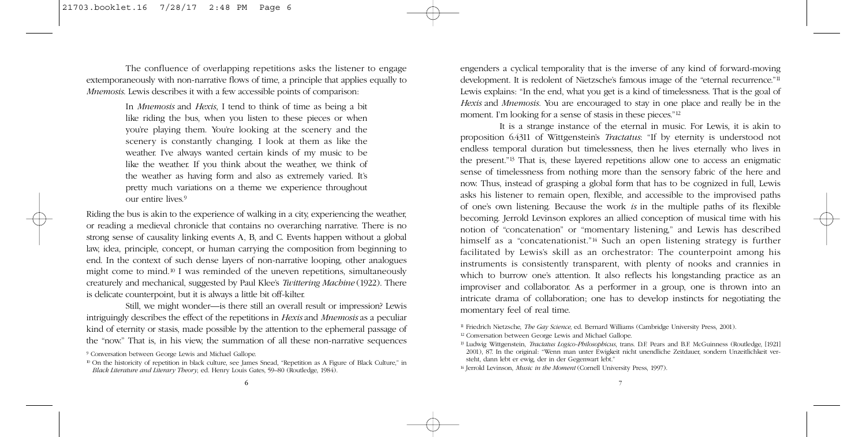The confluence of overlapping repetitions asks the listener to engage extemporaneously with non-narrative flows of time, a principle that applies equally to *Mnemosis*. Lewis describes it with a few accessible points of comparison:

> In *Mnemosis* and *Hexis*, I tend to think of time as being a bit like riding the bus, when you listen to these pieces or when you're playing them. You're looking at the scenery and the scenery is constantly changing. I look at them as like the weather. I've always wanted certain kinds of my music to be like the weather. If you think about the weather, we think of the weather as having form and also as extremely varied. It's pretty much variations on a theme we experience throughout our entire lives.<sup>9</sup>

Riding the bus is akin to the experience of walking in a city, experiencing the weather, or reading a medieval chronicle that contains no overarching narrative. There is no strong sense of causality linking events A, B, and C. Events happen without a global law, idea, principle, concept, or human carrying the composition from beginning to end. In the context of such dense layers of non-narrative looping, other analogues might come to mind.10 I was reminded of the uneven repetitions, simultaneously creaturely and mechanical, suggested by Paul Klee's *Twittering Machine* (1922). There is delicate counterpoint, but it is always a little bit off-kilter.

Still, we might wonder—is there still an overall result or impression? Lewis intriguingly describes the effect of the repetitions in *Hexis* and *Mnemosis* as a peculiar kind of eternity or stasis, made possible by the attention to the ephemeral passage of the "now." That is, in his view, the summation of all these non-narrative sequences engenders a cyclical temporality that is the inverse of any kind of forward-moving development. It is redolent of Nietzsche's famous image of the "eternal recurrence."11 Lewis explains: "In the end, what you get is a kind of timelessness. That is the goal of *Hexis* and *Mnemosis*. You are encouraged to stay in one place and really be in the moment. I'm looking for a sense of stasis in these pieces."12

It is a strange instance of the eternal in music. For Lewis, it is akin to proposition 6.4311 of Wittgenstein's *Tractatus*: "If by eternity is understood not endless temporal duration but timelessness, then he lives eternally who lives in the present."13 That is, these layered repetitions allow one to access an enigmatic sense of timelessness from nothing more than the sensory fabric of the here and now. Thus, instead of grasping a global form that has to be cognized in full, Lewis asks his listener to remain open, flexible, and accessible to the improvised paths of one's own listening. Because the work *is* in the multiple paths of its flexible becoming. Jerrold Levinson explores an allied conception of musical time with his notion of "concatenation" or "momentary listening," and Lewis has described himself as a "concatenationist."<sup>14</sup> Such an open listening strategy is further facilitated by Lewis's skill as an orchestrator: The counterpoint among his instruments is consistently transparent, with plenty of nooks and crannies in which to burrow one's attention. It also reflects his longstanding practice as an improviser and collaborator. As a performer in a group, one is thrown into an intricate drama of collaboration; one has to develop instincts for negotiating the momentary feel of real time.

<sup>9</sup> Conversation between George Lewis and Michael Gallope.

<sup>&</sup>lt;sup>10</sup> On the historicity of repetition in black culture, see James Snead, "Repetition as A Figure of Black Culture," in *Black Literature and Literary Theory*, ed. Henry Louis Gates, 59–80 (Routledge, 1984).

<sup>11</sup> Friedrich Nietzsche, *The Gay Science,* ed. Bernard Williams (Cambridge University Press, 2001).

<sup>12</sup> Conversation between George Lewis and Michael Gallope.

<sup>13</sup> Ludwig Wittgenstein, *Tractatus Logico-Philosophicus*, trans. D.F. Pears and B.F. McGuinness (Routledge, [1921] 2001), 87. In the original: "Wenn man unter Ewigkeit nicht unendliche Zeitdauer, sondern Unzeitlichkeit versteht, dann lebt er ewig, der in der Gegenwart lebt."

<sup>&</sup>lt;sup>14</sup> Jerrold Levinson, *Music in the Moment* (Cornell University Press, 1997).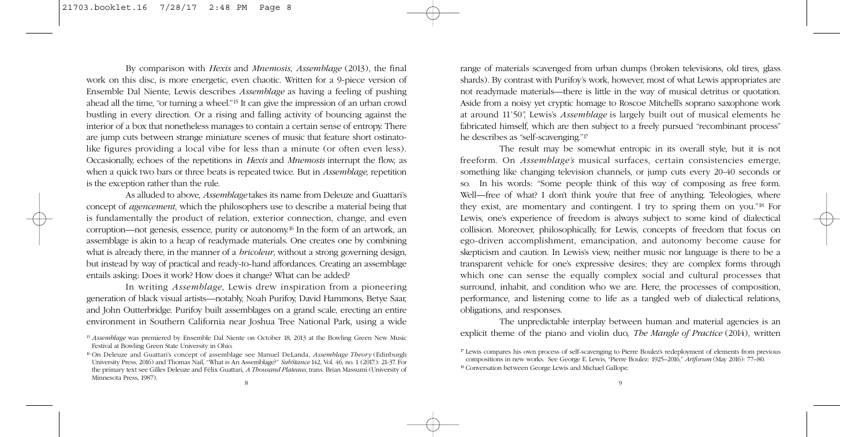By comparison with *Hexis* and *Mnemosis*, *Assemblage* (2013), the final work on this disc, is more energetic, even chaotic. Written for a 9-piece version of Ensemble Dal Niente, Lewis describes *Assemblage* as having a feeling of pushing ahead all the time, "or turning a wheel."15 It can give the impression of an urban crowd bustling in every direction. Or a rising and falling activity of bouncing against the interior of a box that nonetheless manages to contain a certain sense of entropy. There are jump cuts between strange miniature scenes of music that feature short ostinatolike figures providing a local vibe for less than a minute (or often even less). Occasionally, echoes of the repetitions in *Hexis* and *Mnemosis* interrupt the flow, as when a quick two bars or three beats is repeated twice. But in *Assemblage,* repetition is the exception rather than the rule.

As alluded to above, *Assemblage* takes its name from Deleuze and Guattari's concept of *agencement*, which the philosophers use to describe a material being that is fundamentally the product of relation, exterior connection, change, and even corruption—not genesis, essence, purity or autonomy.<sup>16</sup> In the form of an artwork, an assemblage is akin to a heap of readymade materials. One creates one by combining what is already there, in the manner of a *bricoleur*, without a strong governing design, but instead by way of practical and ready-to-hand affordances. Creating an assemblage entails asking: Does it work? How does it change? What can be added?

In writing *Assemblage*, Lewis drew inspiration from a pioneering generation of black visual artists—notably, Noah Purifoy, David Hammons, Betye Saar, and John Outterbridge. Purifoy built assemblages on a grand scale, erecting an entire environment in Southern California near Joshua Tree National Park, using a wide range of materials scavenged from urban dumps (broken televisions, old tires, glass shards). By contrast with Purifoy's work, however, most of what Lewis appropriates are not readymade materials—there is little in the way of musical detritus or quotation. Aside from a noisy yet cryptic homage to Roscoe Mitchell's soprano saxophone work at around 11'50", Lewis's *Assemblage* is largely built out of musical elements he fabricated himself, which are then subject to a freely pursued "recombinant process" he describes as "self-scavenging."<sup>17</sup>

The result may be somewhat entropic in its overall style, but it is not freeform. On *Assemblage's* musical surfaces, certain consistencies emerge, something like changing television channels, or jump cuts every 20-40 seconds or so. In his words: "Some people think of this way of composing as free form. Well—free of what? I don't think you're that free of anything. Teleologies, where they exist, are momentary and contingent. I try to spring them on you."18 For Lewis, one's experience of freedom is always subject to some kind of dialectical collision. Moreover, philosophically, for Lewis, concepts of freedom that focus on ego-driven accomplishment, emancipation, and autonomy become cause for skepticism and caution. In Lewis's view, neither music nor language is there to be a transparent vehicle for one's expressive desires; they are complex forms through which one can sense the equally complex social and cultural processes that surround, inhabit, and condition who we are. Here, the processes of composition, performance, and listening come to life as a tangled web of dialectical relations, obligations, and responses.

The unpredictable interplay between human and material agencies is an explicit theme of the piano and violin duo, *The Mangle of Practice* (2014), written

<sup>15</sup> *Assemblage* was premiered by Ensemble Dal Niente on October 18, 2013 at the Bowling Green New Music Festival at Bowling Green State University in Ohio.

<sup>16</sup> On Deleuze and Guattari's concept of assemblage see Manuel DeLanda, *Assemblage Theory* (Edinburgh University Press, 2016) and Thomas Nail, "What is An Assemblage?" *SubStance* 142, Vol. 46, no. 1 (2017.): 21-37. For the primary text see Gilles Deleuze and Félix Guattari, *A Thousand Plateaus,* trans. Brian Massumi (University of Minnesota Press, 1987).

<sup>17</sup> Lewis compares his own process of self-scavenging to Pierre Boulez's redeployment of elements from previous compositions in new works. See George E. Lewis, "Pierre Boulez: 1925–2016," *Artforum* (May 2016): 77–80. <sup>18</sup> Conversation between George Lewis and Michael Gallope.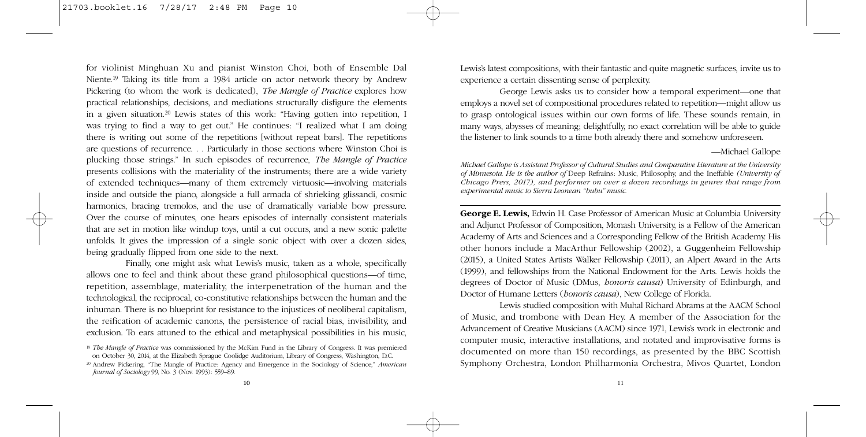for violinist Minghuan Xu and pianist Winston Choi, both of Ensemble Dal Niente.19 Taking its title from a 1984 article on actor network theory by Andrew Pickering (to whom the work is dedicated), *The Mangle of Practice* explores how practical relationships, decisions, and mediations structurally disfigure the elements in a given situation.20 Lewis states of this work: "Having gotten into repetition, I was trying to find a way to get out." He continues: "I realized what I am doing there is writing out some of the repetitions [without repeat bars]. The repetitions are questions of recurrence. . . Particularly in those sections where Winston Choi is plucking those strings." In such episodes of recurrence, *The Mangle of Practice* presents collisions with the materiality of the instruments; there are a wide variety of extended techniques—many of them extremely virtuosic—involving materials inside and outside the piano, alongside a full armada of shrieking glissandi, cosmic harmonics, bracing tremolos, and the use of dramatically variable bow pressure. Over the course of minutes, one hears episodes of internally consistent materials that are set in motion like windup toys, until a cut occurs, and a new sonic palette unfolds. It gives the impression of a single sonic object with over a dozen sides, being gradually flipped from one side to the next.

Finally, one might ask what Lewis's music, taken as a whole, specifically allows one to feel and think about these grand philosophical questions—of time, repetition, assemblage, materiality, the interpenetration of the human and the technological, the reciprocal, co-constitutive relationships between the human and the inhuman. There is no blueprint for resistance to the injustices of neoliberal capitalism, the reification of academic canons, the persistence of racial bias, invisibility, and exclusion. To ears attuned to the ethical and metaphysical possibilities in his music, Lewis's latest compositions, with their fantastic and quite magnetic surfaces, invite us to experience a certain dissenting sense of perplexity.

George Lewis asks us to consider how a temporal experiment—one that employs a novel set of compositional procedures related to repetition—might allow us to grasp ontological issues within our own forms of life. These sounds remain, in many ways, abysses of meaning; delightfully, no exact correlation will be able to guide the listener to link sounds to a time both already there and somehow unforeseen.

### —Michael Gallope

*Michael Gallope is Assistant Professor of Cultural Studies and Comparative Literature at the University of Minnesota. He is the author of* Deep Refrains: Music, Philosophy, and the Ineffable *(University of Chicago Press, 2017), and performer on over a dozen recordings in genres that range from experimental music to Sierra Leonean "bubu" music.*

**George E. Lewis,** Edwin H. Case Professor of American Music at Columbia University and Adjunct Professor of Composition, Monash University, is a Fellow of the American Academy of Arts and Sciences and a Corresponding Fellow of the British Academy. His other honors include a MacArthur Fellowship (2002), a Guggenheim Fellowship (2015), a United States Artists Walker Fellowship (2011), an Alpert Award in the Arts (1999), and fellowships from the National Endowment for the Arts. Lewis holds the degrees of Doctor of Music (DMus, *honoris causa*) University of Edinburgh, and Doctor of Humane Letters (*honoris causa*), New College of Florida.

Lewis studied composition with Muhal Richard Abrams at the AACM School of Music, and trombone with Dean Hey. A member of the Association for the Advancement of Creative Musicians (AACM) since 1971, Lewis's work in electronic and computer music, interactive installations, and notated and improvisative forms is documented on more than 150 recordings, as presented by the BBC Scottish Symphony Orchestra, London Philharmonia Orchestra, Mivos Quartet, London

<sup>19</sup> *The Mangle of Practice* was commissioned by the McKim Fund in the Library of Congress. It was premiered on October 30, 2014, at the Elizabeth Sprague Coolidge Auditorium, Library of Congress, Washington, D.C.

<sup>20</sup> Andrew Pickering, "The Mangle of Practice: Agency and Emergence in the Sociology of Science," *American Journal of Sociology* 99, No. 3 (Nov. 1993): 559–89.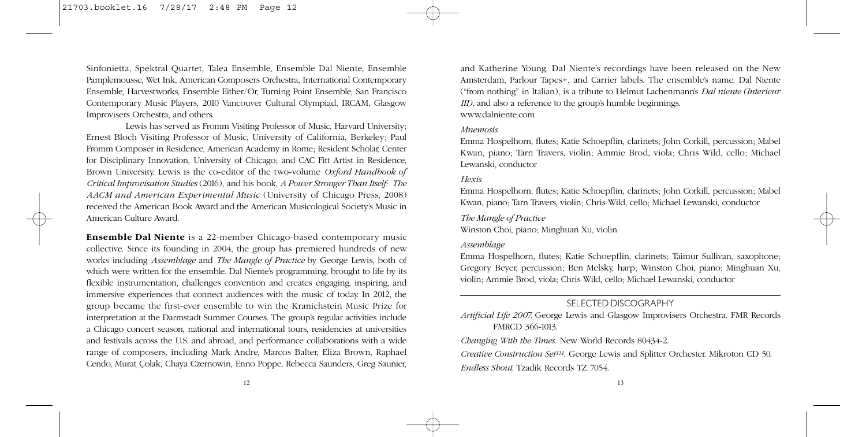Sinfonietta, Spektral Quartet, Talea Ensemble, Ensemble Dal Niente, Ensemble Pamplemousse, Wet Ink, American Composers Orchestra, International Contemporary Ensemble, Harvestworks, Ensemble Either/Or, Turning Point Ensemble, San Francisco Contemporary Music Players, 2010 Vancouver Cultural Olympiad, IRCAM, Glasgow Improvisers Orchestra, and others.

Lewis has served as Fromm Visiting Professor of Music, Harvard University; Ernest Bloch Visiting Professor of Music, University of California, Berkeley; Paul Fromm Composer in Residence, American Academy in Rome; Resident Scholar, Center for Disciplinary Innovation, University of Chicago; and CAC Fitt Artist in Residence, Brown University. Lewis is the co-editor of the two-volume *Oxford Handbook of Critical Improvisation Studies* (2016), and his book, *A Power Stronger Than Itself: The AACM and American Experimental Music* (University of Chicago Press, 2008) received the American Book Award and the American Musicological Society's Music in American Culture Award.

**Ensemble Dal Niente** is a 22-member Chicago-based contemporary music collective. Since its founding in 2004, the group has premiered hundreds of new works including *Assemblage* and *The Mangle of Practice* by George Lewis, both of which were written for the ensemble. Dal Niente's programming, brought to life by its flexible instrumentation, challenges convention and creates engaging, inspiring, and immersive experiences that connect audiences with the music of today. In 2012, the group became the first-ever ensemble to win the Kranichstein Music Prize for interpretation at the Darmstadt Summer Courses. The group's regular activities include a Chicago concert season, national and international tours, residencies at universities and festivals across the U.S. and abroad, and performance collaborations with a wide range of composers, including Mark Andre, Marcos Balter, Eliza Brown, Raphael Cendo, Murat Çolak, Chaya Czernowin, Enno Poppe, Rebecca Saunders, Greg Saunier, and Katherine Young. Dal Niente's recordings have been released on the New Amsterdam, Parlour Tapes+, and Carrier labels. The ensemble's name, Dal Niente ("from nothing" in Italian), is a tribute to Helmut Lachenmann's *Dal niente (Interieur III)*, and also a reference to the group's humble beginnings. www.dalniente.com

#### *Mnemosis*

Emma Hospelhorn, flutes; Katie Schoepflin, clarinets; John Corkill, percussion; Mabel Kwan, piano; Tarn Travers, violin; Ammie Brod, viola; Chris Wild, cello; Michael Lewanski, conductor

## *Hexis*

Emma Hospelhorn, flutes; Katie Schoepflin, clarinets; John Corkill, percussion; Mabel Kwan, piano; Tarn Travers, violin; Chris Wild, cello; Michael Lewanski, conductor

### *The Mangle of Practice*

Winston Choi, piano; Minghuan Xu, violin

## *Assemblage*

Emma Hospelhorn, flutes; Katie Schoepflin, clarinets; Taimur Sullivan, saxophone; Gregory Beyer, percussion; Ben Melsky, harp; Winston Choi, piano; Minghuan Xu, violin; Ammie Brod, viola; Chris Wild, cello; Michael Lewanski, conductor

## SELECTED DISCOGRAPHY

*Artificial Life 2007.* George Lewis and Glasgow Improvisers Orchestra. FMR Records FMRCD 366-1013.

*Changing With the Times*. New World Records 80434-2.

*Creative Construction SetTM*. George Lewis and Splitter Orchester. Mikroton CD 50. *Endless Shout.* Tzadik Records TZ 7054.